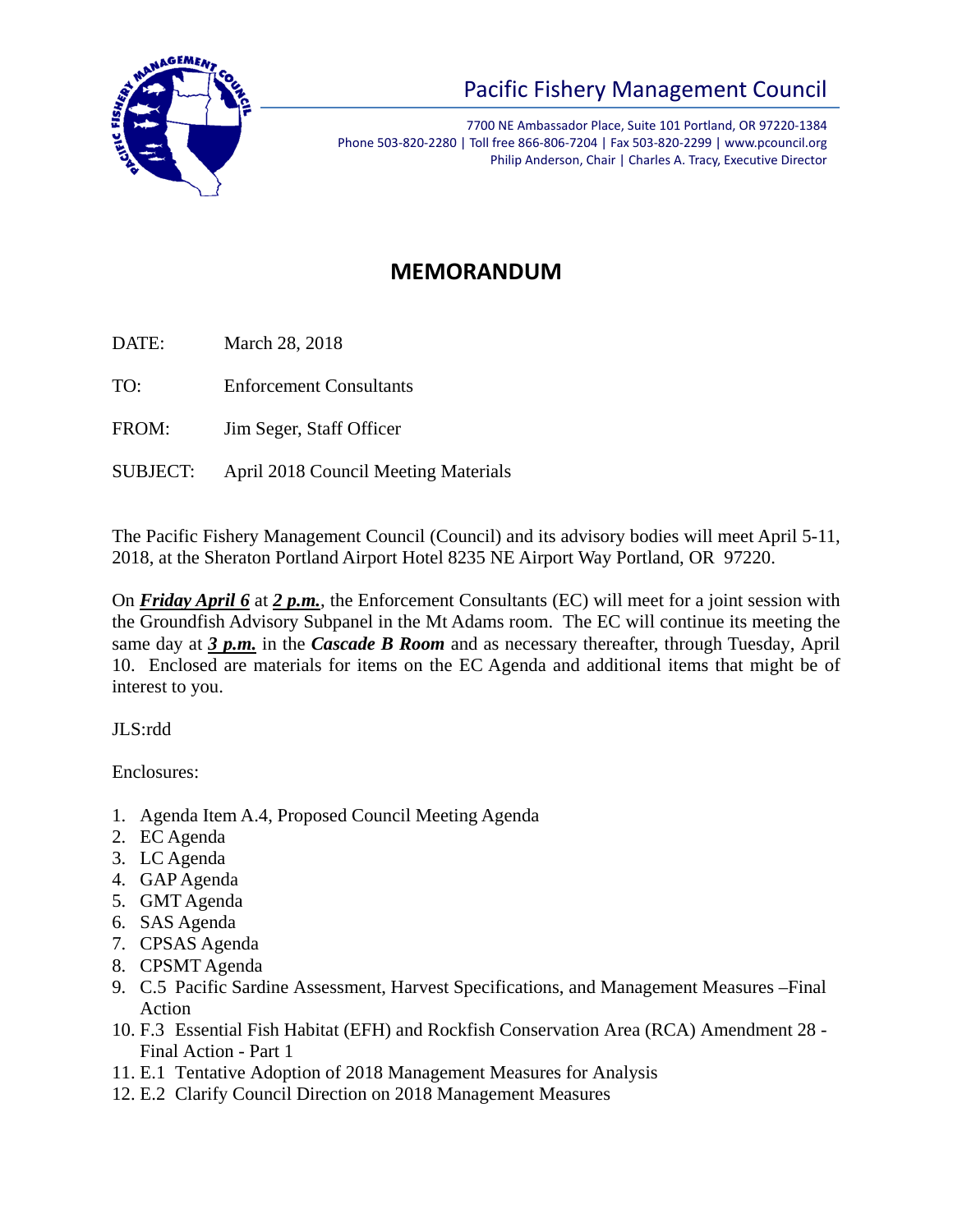

## Pacific Fishery Management Council

7700 NE Ambassador Place, Suite 101 Portland, OR 97220-1384 Phone 503-820-2280 | Toll free 866-806-7204 | Fax 503-820-2299 | www.pcouncil.org Philip Anderson, Chair | Charles A. Tracy, Executive Director

## **MEMORANDUM**

DATE: March 28, 2018

TO: Enforcement Consultants

FROM: Jim Seger, Staff Officer

SUBJECT: April 2018 Council Meeting Materials

The Pacific Fishery Management Council (Council) and its advisory bodies will meet April 5-11, 2018, at the Sheraton Portland Airport Hotel 8235 NE Airport Way Portland, OR 97220.

On *Friday April 6* at *2 p.m.*, the Enforcement Consultants (EC) will meet for a joint session with the Groundfish Advisory Subpanel in the Mt Adams room. The EC will continue its meeting the same day at *3 p.m.* in the *Cascade B Room* and as necessary thereafter, through Tuesday, April 10. Enclosed are materials for items on the EC Agenda and additional items that might be of interest to you.

JLS:rdd

Enclosures:

- 1. Agenda Item A.4, Proposed Council Meeting Agenda
- 2. EC Agenda
- 3. LC Agenda
- 4. GAP Agenda
- 5. GMT Agenda
- 6. SAS Agenda
- 7. CPSAS Agenda
- 8. CPSMT Agenda
- 9. C.5 Pacific Sardine Assessment, Harvest Specifications, and Management Measures –Final Action
- 10. F.3 Essential Fish Habitat (EFH) and Rockfish Conservation Area (RCA) Amendment 28 Final Action - Part 1
- 11. E.1 Tentative Adoption of 2018 Management Measures for Analysis
- 12. E.2 Clarify Council Direction on 2018 Management Measures